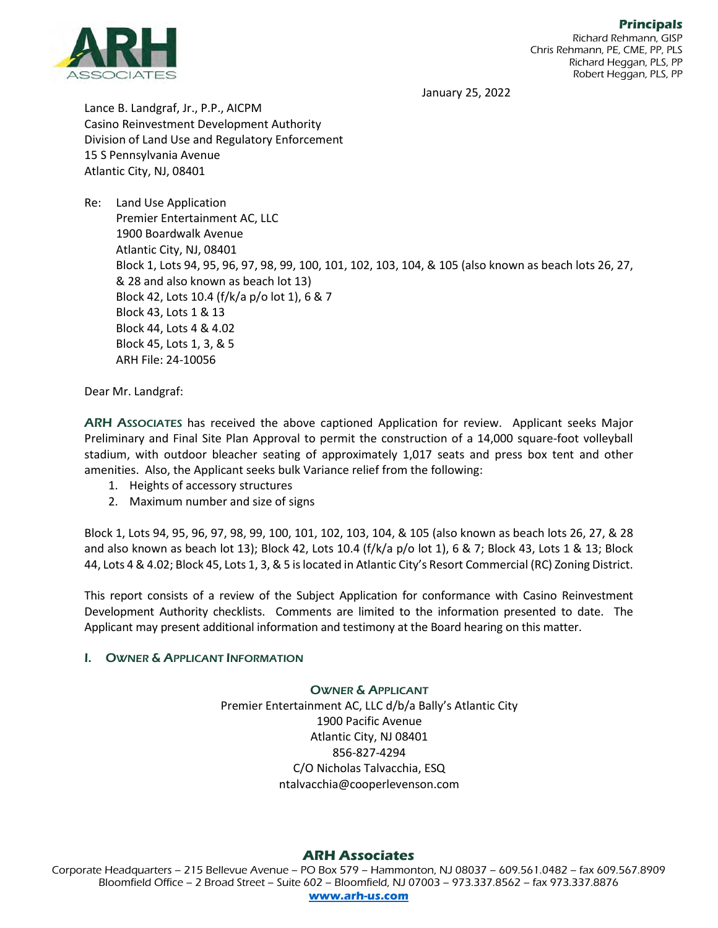

January 25, 2022

Lance B. Landgraf, Jr., P.P., AICPM Casino Reinvestment Development Authority Division of Land Use and Regulatory Enforcement 15 S Pennsylvania Avenue Atlantic City, NJ, 08401

Re: Land Use Application Premier Entertainment AC, LLC 1900 Boardwalk Avenue Atlantic City, NJ, 08401 Block 1, Lots 94, 95, 96, 97, 98, 99, 100, 101, 102, 103, 104, & 105 (also known as beach lots 26, 27, & 28 and also known as beach lot 13) Block 42, Lots 10.4 (f/k/a p/o lot 1), 6 & 7 Block 43, Lots 1 & 13 Block 44, Lots 4 & 4.02 Block 45, Lots 1, 3, & 5 ARH File: 24-10056

Dear Mr. Landgraf:

ARH ASSOCIATES has received the above captioned Application for review. Applicant seeks Major Preliminary and Final Site Plan Approval to permit the construction of a 14,000 square-foot volleyball stadium, with outdoor bleacher seating of approximately 1,017 seats and press box tent and other amenities. Also, the Applicant seeks bulk Variance relief from the following:

- 1. Heights of accessory structures
- 2. Maximum number and size of signs

Block 1, Lots 94, 95, 96, 97, 98, 99, 100, 101, 102, 103, 104, & 105 (also known as beach lots 26, 27, & 28 and also known as beach lot 13); Block 42, Lots 10.4 (f/k/a p/o lot 1), 6 & 7; Block 43, Lots 1 & 13; Block 44, Lots 4 & 4.02; Block 45, Lots 1, 3, & 5 islocated in Atlantic City's Resort Commercial (RC) Zoning District.

This report consists of a review of the Subject Application for conformance with Casino Reinvestment Development Authority checklists. Comments are limited to the information presented to date. The Applicant may present additional information and testimony at the Board hearing on this matter.

## I. OWNER & APPLICANT INFORMATION

## OWNER & APPLICANT

Premier Entertainment AC, LLC d/b/a Bally's Atlantic City 1900 Pacific Avenue Atlantic City, NJ 08401 856-827-4294 C/O Nicholas Talvacchia, ESQ ntalvacchia@cooperlevenson.com

# **ARH Associates**

Corporate Headquarters – 215 Bellevue Avenue – PO Box 579 – Hammonton, NJ 08037 – 609.561.0482 – fax 609.567.8909 Bloomfield Office – 2 Broad Street – Suite 602 – Bloomfield, NJ 07003 – 973.337.8562 – fax 973.337.8876 **[www.arh-us.com](http://www.arh-us.com/)**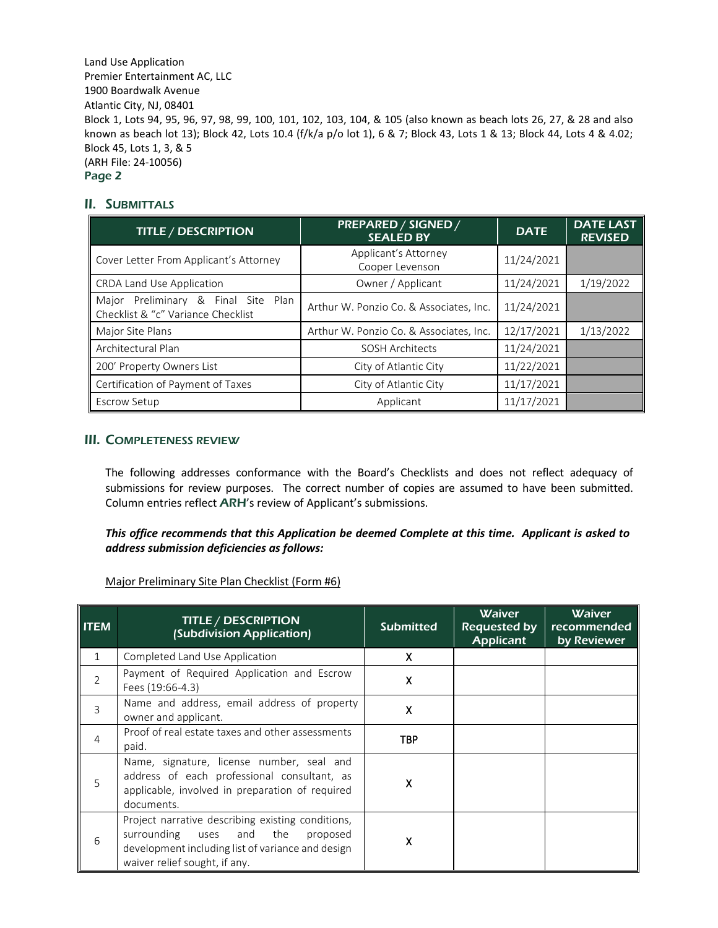## II. SUBMITTALS

| <b>TITLE / DESCRIPTION</b>                                                   | <b>PREPARED / SIGNED /</b><br><b>SEALED BY</b> | <b>DATE</b> | <b>DATE LAST</b><br><b>REVISED</b> |
|------------------------------------------------------------------------------|------------------------------------------------|-------------|------------------------------------|
| Cover Letter From Applicant's Attorney                                       | Applicant's Attorney<br>Cooper Levenson        | 11/24/2021  |                                    |
| CRDA Land Use Application                                                    | Owner / Applicant                              | 11/24/2021  | 1/19/2022                          |
| Major Preliminary & Final Site<br>Plan<br>Checklist & "c" Variance Checklist | Arthur W. Ponzio Co. & Associates, Inc.        | 11/24/2021  |                                    |
| Major Site Plans                                                             | Arthur W. Ponzio Co. & Associates, Inc.        | 12/17/2021  | 1/13/2022                          |
| Architectural Plan                                                           | <b>SOSH Architects</b>                         | 11/24/2021  |                                    |
| 200' Property Owners List                                                    | City of Atlantic City                          | 11/22/2021  |                                    |
| Certification of Payment of Taxes                                            | City of Atlantic City                          | 11/17/2021  |                                    |
| Escrow Setup                                                                 | Applicant                                      | 11/17/2021  |                                    |

## III. COMPLETENESS REVIEW

The following addresses conformance with the Board's Checklists and does not reflect adequacy of submissions for review purposes. The correct number of copies are assumed to have been submitted. Column entries reflect ARH's review of Applicant's submissions.

*This office recommends that this Application be deemed Complete at this time. Applicant is asked to address submission deficiencies as follows:*

Major Preliminary Site Plan Checklist (Form #6)

| <b>ITEM</b>    | <b>TITLE / DESCRIPTION</b><br>(Subdivision Application)                                                                                                                         | <b>Submitted</b> | <b>Waiver</b><br><b>Requested by</b><br><b>Applicant</b> | <b>Waiver</b><br>recommended<br>by Reviewer |
|----------------|---------------------------------------------------------------------------------------------------------------------------------------------------------------------------------|------------------|----------------------------------------------------------|---------------------------------------------|
| $\mathbf{1}$   | Completed Land Use Application                                                                                                                                                  | X.               |                                                          |                                             |
| $\overline{2}$ | Payment of Required Application and Escrow<br>Fees (19:66-4.3)                                                                                                                  | X                |                                                          |                                             |
| 3              | Name and address, email address of property<br>owner and applicant.                                                                                                             | X                |                                                          |                                             |
| 4              | Proof of real estate taxes and other assessments<br>paid.                                                                                                                       | <b>TBP</b>       |                                                          |                                             |
| 5              | Name, signature, license number, seal and<br>address of each professional consultant, as<br>applicable, involved in preparation of required<br>documents.                       | X                |                                                          |                                             |
| 6              | Project narrative describing existing conditions,<br>surrounding uses and the<br>proposed<br>development including list of variance and design<br>waiver relief sought, if any. | X                |                                                          |                                             |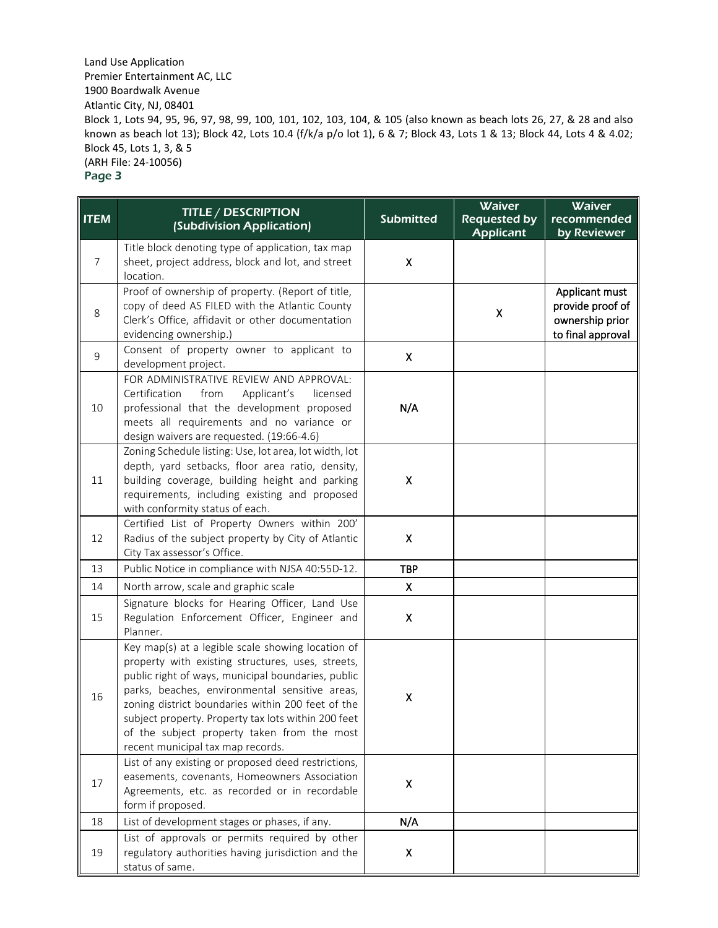| <b>ITEM</b> | <b>TITLE / DESCRIPTION</b><br>(Subdivision Application)                                                                                                                                                                                                                                                                                                                                                        | <b>Submitted</b>   | <b>Waiver</b><br><b>Requested by</b><br><b>Applicant</b> | <b>Waiver</b><br>recommended<br>by Reviewer                                |
|-------------|----------------------------------------------------------------------------------------------------------------------------------------------------------------------------------------------------------------------------------------------------------------------------------------------------------------------------------------------------------------------------------------------------------------|--------------------|----------------------------------------------------------|----------------------------------------------------------------------------|
| 7           | Title block denoting type of application, tax map<br>sheet, project address, block and lot, and street<br>location.                                                                                                                                                                                                                                                                                            | Χ                  |                                                          |                                                                            |
| 8           | Proof of ownership of property. (Report of title,<br>copy of deed AS FILED with the Atlantic County<br>Clerk's Office, affidavit or other documentation<br>evidencing ownership.)                                                                                                                                                                                                                              |                    | X                                                        | Applicant must<br>provide proof of<br>ownership prior<br>to final approval |
| 9           | Consent of property owner to applicant to<br>development project.                                                                                                                                                                                                                                                                                                                                              | Χ                  |                                                          |                                                                            |
| 10          | FOR ADMINISTRATIVE REVIEW AND APPROVAL:<br>Certification<br>from<br>Applicant's<br>licensed<br>professional that the development proposed<br>meets all requirements and no variance or<br>design waivers are requested. (19:66-4.6)                                                                                                                                                                            | N/A                |                                                          |                                                                            |
| 11          | Zoning Schedule listing: Use, lot area, lot width, lot<br>depth, yard setbacks, floor area ratio, density,<br>building coverage, building height and parking<br>requirements, including existing and proposed<br>with conformity status of each.                                                                                                                                                               | $\pmb{\mathsf{X}}$ |                                                          |                                                                            |
| 12          | Certified List of Property Owners within 200'<br>Radius of the subject property by City of Atlantic<br>City Tax assessor's Office.                                                                                                                                                                                                                                                                             | Χ                  |                                                          |                                                                            |
| 13          | Public Notice in compliance with NJSA 40:55D-12.                                                                                                                                                                                                                                                                                                                                                               | <b>TBP</b>         |                                                          |                                                                            |
| 14          | North arrow, scale and graphic scale                                                                                                                                                                                                                                                                                                                                                                           | X.                 |                                                          |                                                                            |
| 15          | Signature blocks for Hearing Officer, Land Use<br>Regulation Enforcement Officer, Engineer and<br>Planner.                                                                                                                                                                                                                                                                                                     | X                  |                                                          |                                                                            |
| 16          | Key map(s) at a legible scale showing location of<br>property with existing structures, uses, streets,<br>public right of ways, municipal boundaries, public<br>parks, beaches, environmental sensitive areas,<br>zoning district boundaries within 200 feet of the<br>subject property. Property tax lots within 200 feet<br>of the subject property taken from the most<br>recent municipal tax map records. | Χ                  |                                                          |                                                                            |
| 17          | List of any existing or proposed deed restrictions,<br>easements, covenants, Homeowners Association<br>Agreements, etc. as recorded or in recordable<br>form if proposed.                                                                                                                                                                                                                                      | X                  |                                                          |                                                                            |
| 18          | List of development stages or phases, if any.                                                                                                                                                                                                                                                                                                                                                                  | N/A                |                                                          |                                                                            |
| 19          | List of approvals or permits required by other<br>regulatory authorities having jurisdiction and the<br>status of same.                                                                                                                                                                                                                                                                                        | Χ                  |                                                          |                                                                            |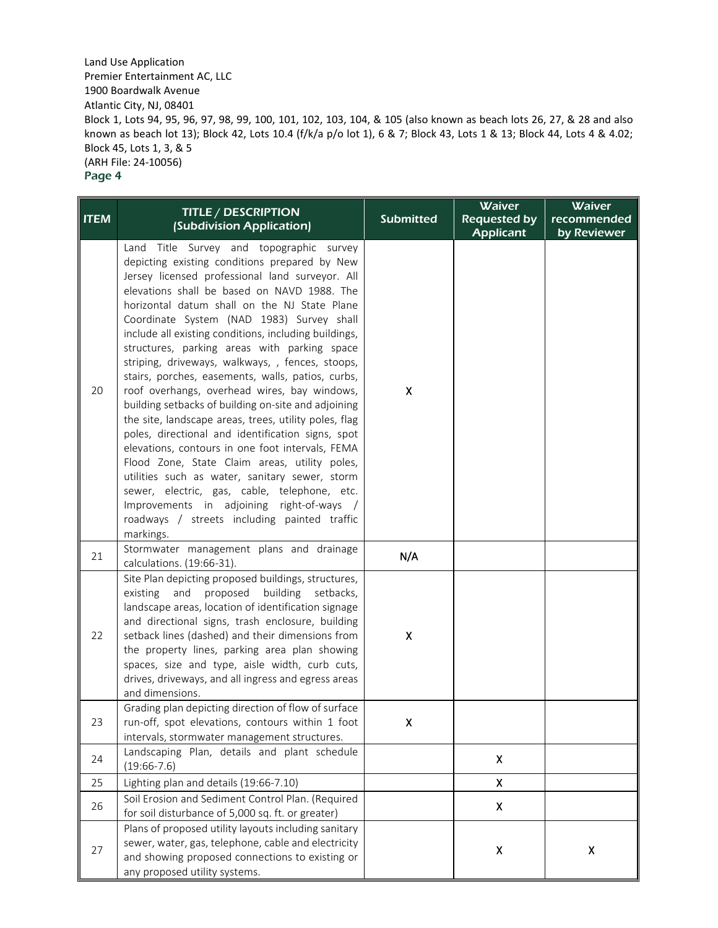| <b>ITEM</b> | <b>TITLE / DESCRIPTION</b><br>(Subdivision Application)                                                                                                                                                                                                                                                                                                                                                                                                                                                                                                                                                                                                                                                                                                                                                                                                                                                                                                                                                                                             | <b>Submitted</b> | Waiver<br><b>Requested by</b><br><b>Applicant</b> | Waiver<br>recommended<br>by Reviewer |
|-------------|-----------------------------------------------------------------------------------------------------------------------------------------------------------------------------------------------------------------------------------------------------------------------------------------------------------------------------------------------------------------------------------------------------------------------------------------------------------------------------------------------------------------------------------------------------------------------------------------------------------------------------------------------------------------------------------------------------------------------------------------------------------------------------------------------------------------------------------------------------------------------------------------------------------------------------------------------------------------------------------------------------------------------------------------------------|------------------|---------------------------------------------------|--------------------------------------|
| 20          | Title Survey and topographic survey<br>Land<br>depicting existing conditions prepared by New<br>Jersey licensed professional land surveyor. All<br>elevations shall be based on NAVD 1988. The<br>horizontal datum shall on the NJ State Plane<br>Coordinate System (NAD 1983) Survey shall<br>include all existing conditions, including buildings,<br>structures, parking areas with parking space<br>striping, driveways, walkways, , fences, stoops,<br>stairs, porches, easements, walls, patios, curbs,<br>roof overhangs, overhead wires, bay windows,<br>building setbacks of building on-site and adjoining<br>the site, landscape areas, trees, utility poles, flag<br>poles, directional and identification signs, spot<br>elevations, contours in one foot intervals, FEMA<br>Flood Zone, State Claim areas, utility poles,<br>utilities such as water, sanitary sewer, storm<br>sewer, electric, gas, cable, telephone, etc.<br>Improvements in adjoining right-of-ways /<br>roadways / streets including painted traffic<br>markings. | Χ                |                                                   |                                      |
| 21          | Stormwater management plans and drainage<br>calculations. (19:66-31).                                                                                                                                                                                                                                                                                                                                                                                                                                                                                                                                                                                                                                                                                                                                                                                                                                                                                                                                                                               | N/A              |                                                   |                                      |
| 22          | Site Plan depicting proposed buildings, structures,<br>building setbacks,<br>existing<br>and<br>proposed<br>landscape areas, location of identification signage<br>and directional signs, trash enclosure, building<br>setback lines (dashed) and their dimensions from<br>the property lines, parking area plan showing<br>spaces, size and type, aisle width, curb cuts,<br>drives, driveways, and all ingress and egress areas<br>and dimensions.                                                                                                                                                                                                                                                                                                                                                                                                                                                                                                                                                                                                | Χ                |                                                   |                                      |
| 23          | Grading plan depicting direction of flow of surface<br>run-off, spot elevations, contours within 1 foot<br>intervals, stormwater management structures.                                                                                                                                                                                                                                                                                                                                                                                                                                                                                                                                                                                                                                                                                                                                                                                                                                                                                             | x                |                                                   |                                      |
| 24          | Landscaping Plan, details and plant schedule<br>$(19:66-7.6)$                                                                                                                                                                                                                                                                                                                                                                                                                                                                                                                                                                                                                                                                                                                                                                                                                                                                                                                                                                                       |                  | Χ                                                 |                                      |
| 25          | Lighting plan and details (19:66-7.10)                                                                                                                                                                                                                                                                                                                                                                                                                                                                                                                                                                                                                                                                                                                                                                                                                                                                                                                                                                                                              |                  | X                                                 |                                      |
| 26          | Soil Erosion and Sediment Control Plan. (Required<br>for soil disturbance of 5,000 sq. ft. or greater)                                                                                                                                                                                                                                                                                                                                                                                                                                                                                                                                                                                                                                                                                                                                                                                                                                                                                                                                              |                  | Χ                                                 |                                      |
| 27          | Plans of proposed utility layouts including sanitary<br>sewer, water, gas, telephone, cable and electricity<br>and showing proposed connections to existing or<br>any proposed utility systems.                                                                                                                                                                                                                                                                                                                                                                                                                                                                                                                                                                                                                                                                                                                                                                                                                                                     |                  | X                                                 | $\pmb{\mathsf{X}}$                   |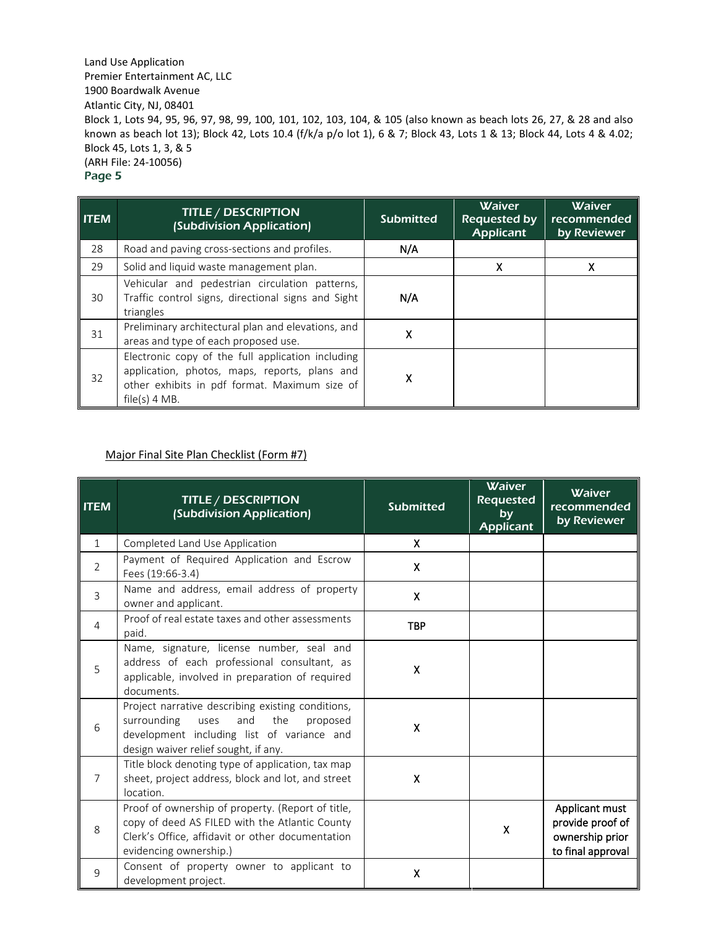| <b>ITEM</b> | <b>TITLE / DESCRIPTION</b><br>(Subdivision Application)                                                                                                                | <b>Submitted</b> | <b>Waiver</b><br><b>Requested by</b><br><b>Applicant</b> | <b>Waiver</b><br>recommended<br>by Reviewer |
|-------------|------------------------------------------------------------------------------------------------------------------------------------------------------------------------|------------------|----------------------------------------------------------|---------------------------------------------|
| 28          | Road and paving cross-sections and profiles.                                                                                                                           | N/A              |                                                          |                                             |
| 29          | Solid and liquid waste management plan.                                                                                                                                |                  | X                                                        | Χ                                           |
| 30          | Vehicular and pedestrian circulation patterns,<br>Traffic control signs, directional signs and Sight<br>triangles                                                      | N/A              |                                                          |                                             |
| 31          | Preliminary architectural plan and elevations, and<br>areas and type of each proposed use.                                                                             | X                |                                                          |                                             |
| 32          | Electronic copy of the full application including<br>application, photos, maps, reports, plans and<br>other exhibits in pdf format. Maximum size of<br>$file(s)$ 4 MB. | x                |                                                          |                                             |

#### Major Final Site Plan Checklist (Form #7)

| <b>ITEM</b>    | <b>TITLE / DESCRIPTION</b><br>(Subdivision Application)                                                                                                                                  | <b>Submitted</b> | <b>Waiver</b><br><b>Requested</b><br>by<br><b>Applicant</b> | <b>Waiver</b><br>recommended<br>by Reviewer                                |
|----------------|------------------------------------------------------------------------------------------------------------------------------------------------------------------------------------------|------------------|-------------------------------------------------------------|----------------------------------------------------------------------------|
| $\mathbf{1}$   | Completed Land Use Application                                                                                                                                                           | X                |                                                             |                                                                            |
| 2              | Payment of Required Application and Escrow<br>Fees (19:66-3.4)                                                                                                                           | X                |                                                             |                                                                            |
| 3              | Name and address, email address of property<br>owner and applicant.                                                                                                                      | $\mathsf{x}$     |                                                             |                                                                            |
| 4              | Proof of real estate taxes and other assessments<br>paid.                                                                                                                                | <b>TBP</b>       |                                                             |                                                                            |
| 5              | Name, signature, license number, seal and<br>address of each professional consultant, as<br>applicable, involved in preparation of required<br>documents.                                | X                |                                                             |                                                                            |
| 6              | Project narrative describing existing conditions,<br>surrounding<br>and<br>the<br>uses<br>proposed<br>development including list of variance and<br>design waiver relief sought, if any. | X.               |                                                             |                                                                            |
| $\overline{7}$ | Title block denoting type of application, tax map<br>sheet, project address, block and lot, and street<br>location.                                                                      | $\mathsf{x}$     |                                                             |                                                                            |
| 8              | Proof of ownership of property. (Report of title,<br>copy of deed AS FILED with the Atlantic County<br>Clerk's Office, affidavit or other documentation<br>evidencing ownership.)        |                  | X                                                           | Applicant must<br>provide proof of<br>ownership prior<br>to final approval |
| 9              | Consent of property owner to applicant to<br>development project.                                                                                                                        | X                |                                                             |                                                                            |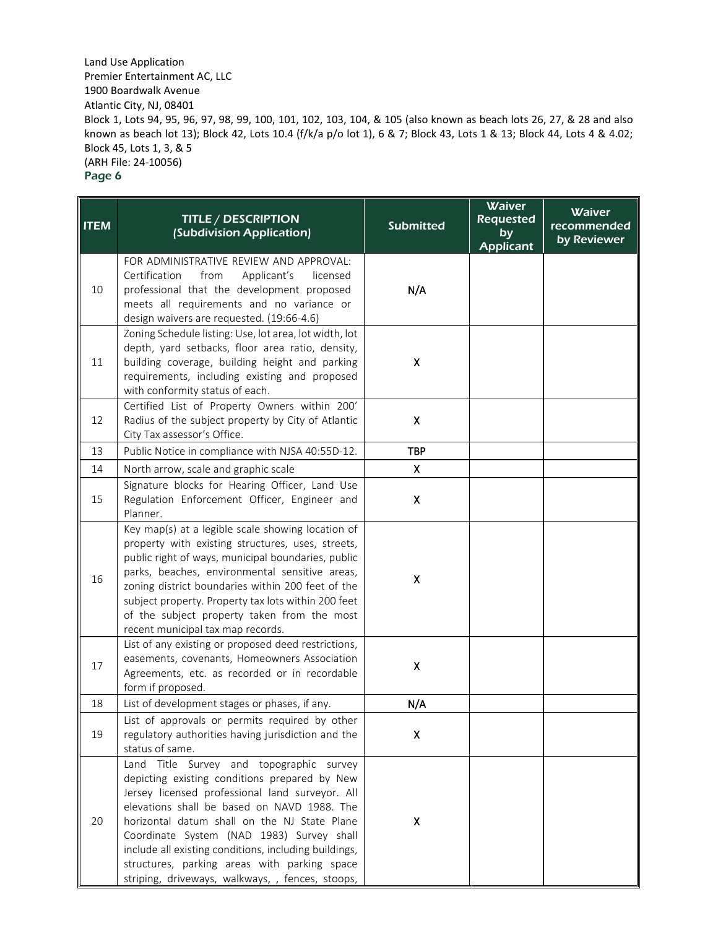| <b>ITEM</b> | <b>TITLE / DESCRIPTION</b><br>(Subdivision Application)                                                                                                                                                                                                                                                                                                                                                                                               | <b>Submitted</b>          | Waiver<br><b>Requested</b><br>by<br><b>Applicant</b> | <b>Waiver</b><br>recommended<br>by Reviewer |
|-------------|-------------------------------------------------------------------------------------------------------------------------------------------------------------------------------------------------------------------------------------------------------------------------------------------------------------------------------------------------------------------------------------------------------------------------------------------------------|---------------------------|------------------------------------------------------|---------------------------------------------|
| 10          | FOR ADMINISTRATIVE REVIEW AND APPROVAL:<br>Certification<br>from<br>Applicant's<br>licensed<br>professional that the development proposed<br>meets all requirements and no variance or<br>design waivers are requested. (19:66-4.6)                                                                                                                                                                                                                   | N/A                       |                                                      |                                             |
| 11          | Zoning Schedule listing: Use, lot area, lot width, lot<br>depth, yard setbacks, floor area ratio, density,<br>building coverage, building height and parking<br>requirements, including existing and proposed<br>with conformity status of each.                                                                                                                                                                                                      | X                         |                                                      |                                             |
| 12          | Certified List of Property Owners within 200'<br>Radius of the subject property by City of Atlantic<br>City Tax assessor's Office.                                                                                                                                                                                                                                                                                                                    | $\boldsymbol{\mathsf{x}}$ |                                                      |                                             |
| 13          | Public Notice in compliance with NJSA 40:55D-12.                                                                                                                                                                                                                                                                                                                                                                                                      | <b>TBP</b>                |                                                      |                                             |
| 14          | North arrow, scale and graphic scale                                                                                                                                                                                                                                                                                                                                                                                                                  | $\boldsymbol{\mathsf{X}}$ |                                                      |                                             |
| 15          | Signature blocks for Hearing Officer, Land Use<br>Regulation Enforcement Officer, Engineer and<br>Planner.                                                                                                                                                                                                                                                                                                                                            | $\boldsymbol{\mathsf{X}}$ |                                                      |                                             |
| 16          | Key map(s) at a legible scale showing location of<br>property with existing structures, uses, streets,<br>public right of ways, municipal boundaries, public<br>parks, beaches, environmental sensitive areas,<br>zoning district boundaries within 200 feet of the<br>subject property. Property tax lots within 200 feet<br>of the subject property taken from the most<br>recent municipal tax map records.                                        | $\pmb{\mathsf{X}}$        |                                                      |                                             |
| 17          | List of any existing or proposed deed restrictions,<br>easements, covenants, Homeowners Association<br>Agreements, etc. as recorded or in recordable<br>form if proposed.                                                                                                                                                                                                                                                                             | $\mathsf{X}$              |                                                      |                                             |
| 18          | List of development stages or phases, if any.                                                                                                                                                                                                                                                                                                                                                                                                         | N/A                       |                                                      |                                             |
| 19          | List of approvals or permits required by other<br>regulatory authorities having jurisdiction and the<br>status of same.                                                                                                                                                                                                                                                                                                                               | X                         |                                                      |                                             |
| 20          | Land Title Survey and topographic survey<br>depicting existing conditions prepared by New<br>Jersey licensed professional land surveyor. All<br>elevations shall be based on NAVD 1988. The<br>horizontal datum shall on the NJ State Plane<br>Coordinate System (NAD 1983) Survey shall<br>include all existing conditions, including buildings,<br>structures, parking areas with parking space<br>striping, driveways, walkways, , fences, stoops, | $\pmb{\mathsf{X}}$        |                                                      |                                             |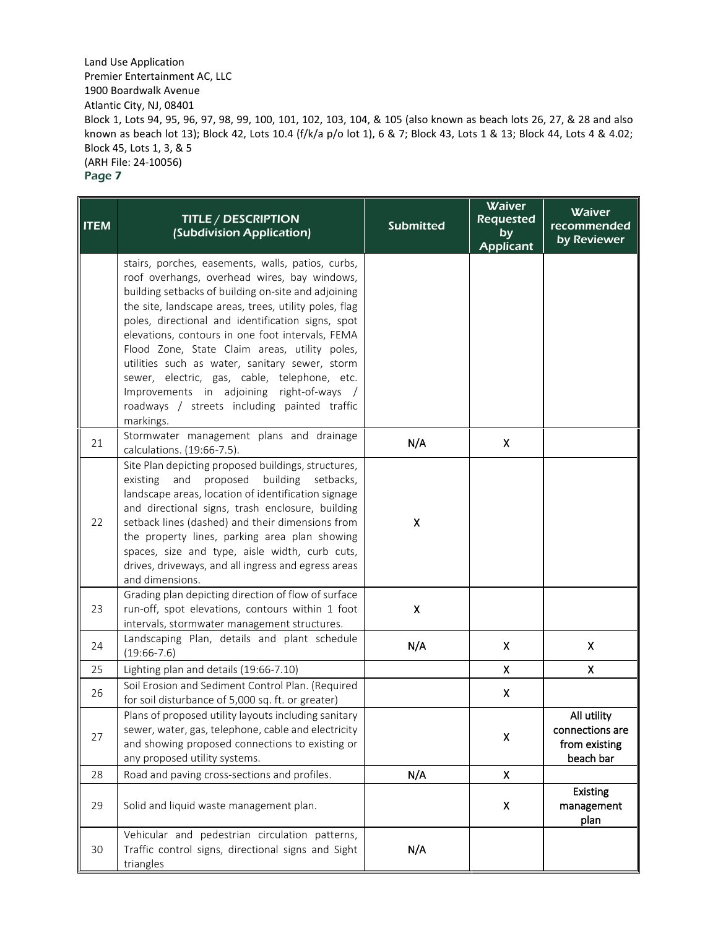| <b>ITEM</b> | <b>TITLE / DESCRIPTION</b><br>(Subdivision Application)                                                                                                                                                                                                                                                                                                                                                                                                                                                                                                                                 | <b>Submitted</b>   | <b>Waiver</b><br><b>Requested</b><br>by<br><b>Applicant</b> | Waiver<br>recommended<br>by Reviewer                         |
|-------------|-----------------------------------------------------------------------------------------------------------------------------------------------------------------------------------------------------------------------------------------------------------------------------------------------------------------------------------------------------------------------------------------------------------------------------------------------------------------------------------------------------------------------------------------------------------------------------------------|--------------------|-------------------------------------------------------------|--------------------------------------------------------------|
|             | stairs, porches, easements, walls, patios, curbs,<br>roof overhangs, overhead wires, bay windows,<br>building setbacks of building on-site and adjoining<br>the site, landscape areas, trees, utility poles, flag<br>poles, directional and identification signs, spot<br>elevations, contours in one foot intervals, FEMA<br>Flood Zone, State Claim areas, utility poles,<br>utilities such as water, sanitary sewer, storm<br>sewer, electric, gas, cable, telephone, etc.<br>Improvements in adjoining right-of-ways /<br>roadways / streets including painted traffic<br>markings. |                    |                                                             |                                                              |
| 21          | Stormwater management plans and drainage<br>calculations. (19:66-7.5).                                                                                                                                                                                                                                                                                                                                                                                                                                                                                                                  | N/A                | $\pmb{\mathsf{X}}$                                          |                                                              |
| 22          | Site Plan depicting proposed buildings, structures,<br>and<br>proposed<br>building<br>existing<br>setbacks,<br>landscape areas, location of identification signage<br>and directional signs, trash enclosure, building<br>setback lines (dashed) and their dimensions from<br>the property lines, parking area plan showing<br>spaces, size and type, aisle width, curb cuts,<br>drives, driveways, and all ingress and egress areas<br>and dimensions.                                                                                                                                 | $\pmb{\mathsf{X}}$ |                                                             |                                                              |
| 23          | Grading plan depicting direction of flow of surface<br>run-off, spot elevations, contours within 1 foot<br>intervals, stormwater management structures.                                                                                                                                                                                                                                                                                                                                                                                                                                 | X                  |                                                             |                                                              |
| 24          | Landscaping Plan, details and plant schedule<br>$(19:66-7.6)$                                                                                                                                                                                                                                                                                                                                                                                                                                                                                                                           | N/A                | X.                                                          | $\boldsymbol{\mathsf{X}}$                                    |
| 25          | Lighting plan and details (19:66-7.10)                                                                                                                                                                                                                                                                                                                                                                                                                                                                                                                                                  |                    | X                                                           | X                                                            |
| 26          | Soil Erosion and Sediment Control Plan. (Required<br>for soil disturbance of 5,000 sq. ft. or greater)                                                                                                                                                                                                                                                                                                                                                                                                                                                                                  |                    | X                                                           |                                                              |
| 27          | Plans of proposed utility layouts including sanitary<br>sewer, water, gas, telephone, cable and electricity<br>and showing proposed connections to existing or<br>any proposed utility systems.                                                                                                                                                                                                                                                                                                                                                                                         |                    | Χ                                                           | All utility<br>connections are<br>from existing<br>beach bar |
| 28          | Road and paving cross-sections and profiles.                                                                                                                                                                                                                                                                                                                                                                                                                                                                                                                                            | N/A                | Χ                                                           |                                                              |
| 29          | Solid and liquid waste management plan.                                                                                                                                                                                                                                                                                                                                                                                                                                                                                                                                                 |                    | X                                                           | <b>Existing</b><br>management<br>plan                        |
| 30          | Vehicular and pedestrian circulation patterns,<br>Traffic control signs, directional signs and Sight<br>triangles                                                                                                                                                                                                                                                                                                                                                                                                                                                                       | N/A                |                                                             |                                                              |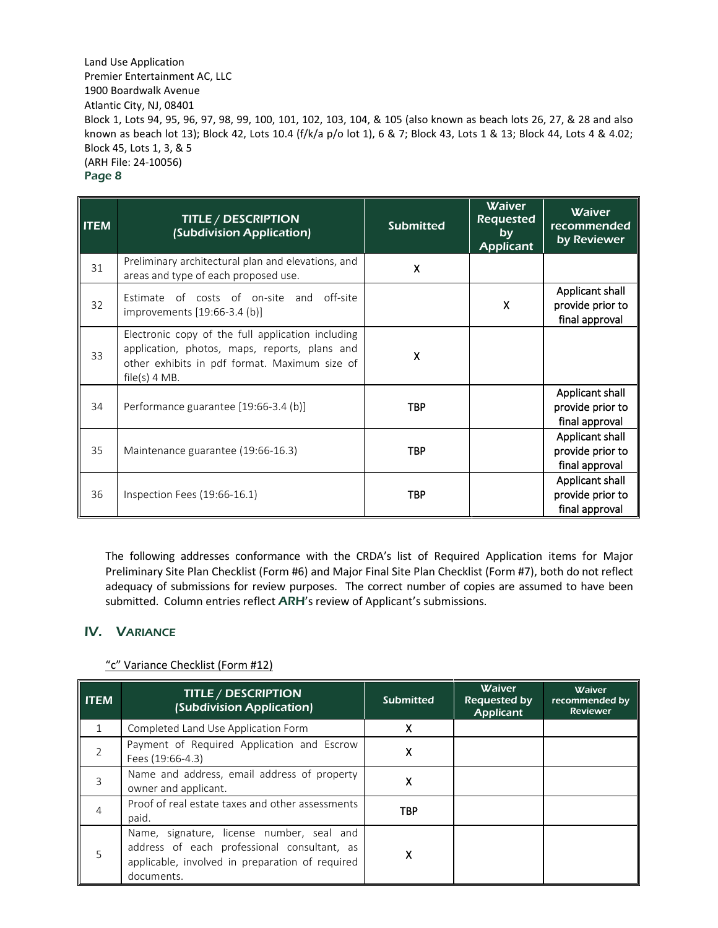| <b>ITEM</b> | <b>TITLE / DESCRIPTION</b><br>(Subdivision Application)                                                                                                                | <b>Submitted</b> | <b>Waiver</b><br><b>Requested</b><br>by<br><b>Applicant</b> | <b>Waiver</b><br>recommended<br>by Reviewer           |
|-------------|------------------------------------------------------------------------------------------------------------------------------------------------------------------------|------------------|-------------------------------------------------------------|-------------------------------------------------------|
| 31          | Preliminary architectural plan and elevations, and<br>areas and type of each proposed use.                                                                             | X                |                                                             |                                                       |
| 32          | Estimate of costs of on-site and off-site<br>improvements [19:66-3.4 (b)]                                                                                              |                  | X                                                           | Applicant shall<br>provide prior to<br>final approval |
| 33          | Electronic copy of the full application including<br>application, photos, maps, reports, plans and<br>other exhibits in pdf format. Maximum size of<br>$file(s)$ 4 MB. | X                |                                                             |                                                       |
| 34          | Performance guarantee [19:66-3.4 (b)]                                                                                                                                  | <b>TBP</b>       |                                                             | Applicant shall<br>provide prior to<br>final approval |
| 35          | Maintenance guarantee (19:66-16.3)                                                                                                                                     | <b>TBP</b>       |                                                             | Applicant shall<br>provide prior to<br>final approval |
| 36          | Inspection Fees (19:66-16.1)                                                                                                                                           | <b>TBP</b>       |                                                             | Applicant shall<br>provide prior to<br>final approval |

The following addresses conformance with the CRDA's list of Required Application items for Major Preliminary Site Plan Checklist (Form #6) and Major Final Site Plan Checklist (Form #7), both do not reflect adequacy of submissions for review purposes. The correct number of copies are assumed to have been submitted. Column entries reflect ARH's review of Applicant's submissions.

# IV. VARIANCE

| <b>ITEM</b>    | <b>TITLE / DESCRIPTION</b><br>(Subdivision Application)                                                                                                   | <b>Submitted</b> | <b>Waiver</b><br>Requested by<br>Applicant | <b>Waiver</b><br>recommended by<br><b>Reviewer</b> |
|----------------|-----------------------------------------------------------------------------------------------------------------------------------------------------------|------------------|--------------------------------------------|----------------------------------------------------|
| $\mathbf{1}$   | Completed Land Use Application Form                                                                                                                       | x                |                                            |                                                    |
| $\overline{2}$ | Payment of Required Application and Escrow<br>Fees (19:66-4.3)                                                                                            | χ                |                                            |                                                    |
| $\overline{3}$ | Name and address, email address of property<br>owner and applicant.                                                                                       | χ                |                                            |                                                    |
| 4              | Proof of real estate taxes and other assessments<br>paid.                                                                                                 | <b>TBP</b>       |                                            |                                                    |
| .5             | Name, signature, license number, seal and<br>address of each professional consultant, as<br>applicable, involved in preparation of required<br>documents. | χ                |                                            |                                                    |

## "c" Variance Checklist (Form #12)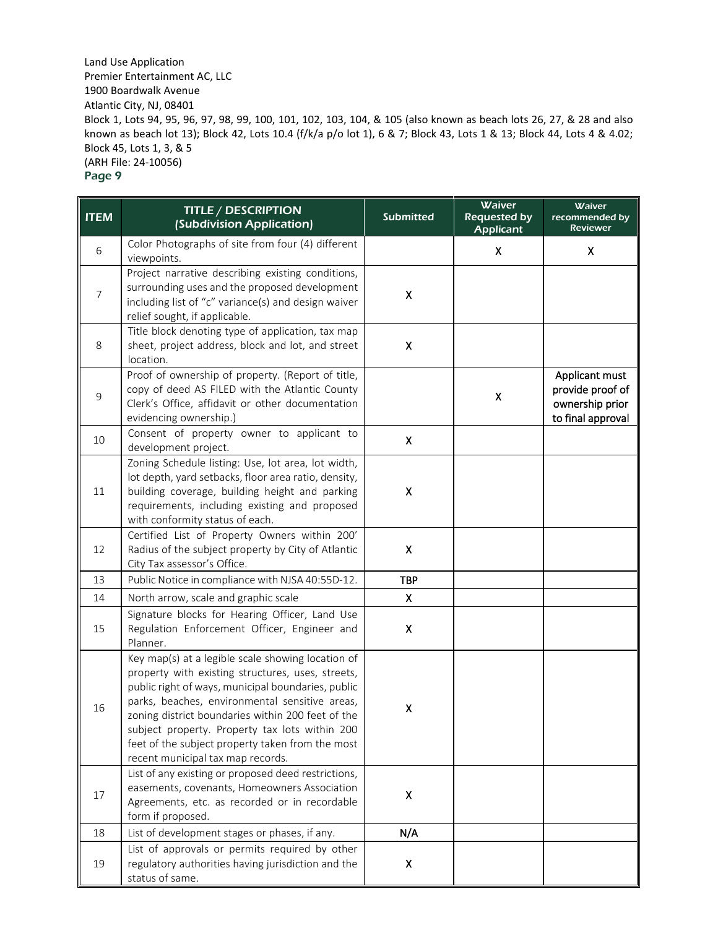**ITEM** TITLE / DESCRIPTION (Subdivision Application) Submitted Waiver Requested by Applicant **Waiver** recommended by Reviewer 6 Color Photographs of site from four (4) different viewpoints. viewpoints. X X 7 Project narrative describing existing conditions, surrounding uses and the proposed development including list of "c" variance(s) and design waiver relief sought, if applicable. X 8 Title block denoting type of application, tax map sheet, project address, block and lot, and street location. X 9 Proof of ownership of property. (Report of title, copy of deed AS FILED with the Atlantic County Clerk's Office, affidavit or other documentation evidencing ownership.)  $\mathsf{X}$  and  $\mathsf{X}$ Applicant must provide proof of ownership prior to final approval 10 Consent of property owner to applicant to  $\alpha$  development project. 11 Zoning Schedule listing: Use, lot area, lot width, lot depth, yard setbacks, floor area ratio, density, building coverage, building height and parking requirements, including existing and proposed with conformity status of each. X 12 Certified List of Property Owners within 200' Radius of the subject property by City of Atlantic City Tax assessor's Office. X 13 | Public Notice in compliance with NJSA 40:55D-12. TBP 14 North arrow, scale and graphic scale **X** 15 Signature blocks for Hearing Officer, Land Use Regulation Enforcement Officer, Engineer and Planner. X 16 Key map(s) at a legible scale showing location of property with existing structures, uses, streets, public right of ways, municipal boundaries, public parks, beaches, environmental sensitive areas, zoning district boundaries within 200 feet of the subject property. Property tax lots within 200 feet of the subject property taken from the most recent municipal tax map records. X 17 List of any existing or proposed deed restrictions, easements, covenants, Homeowners Association Agreements, etc. as recorded or in recordable form if proposed. X 18 | List of development stages or phases, if any.  $\blacksquare$  N/A 19 List of approvals or permits required by other regulatory authorities having jurisdiction and the status of same. X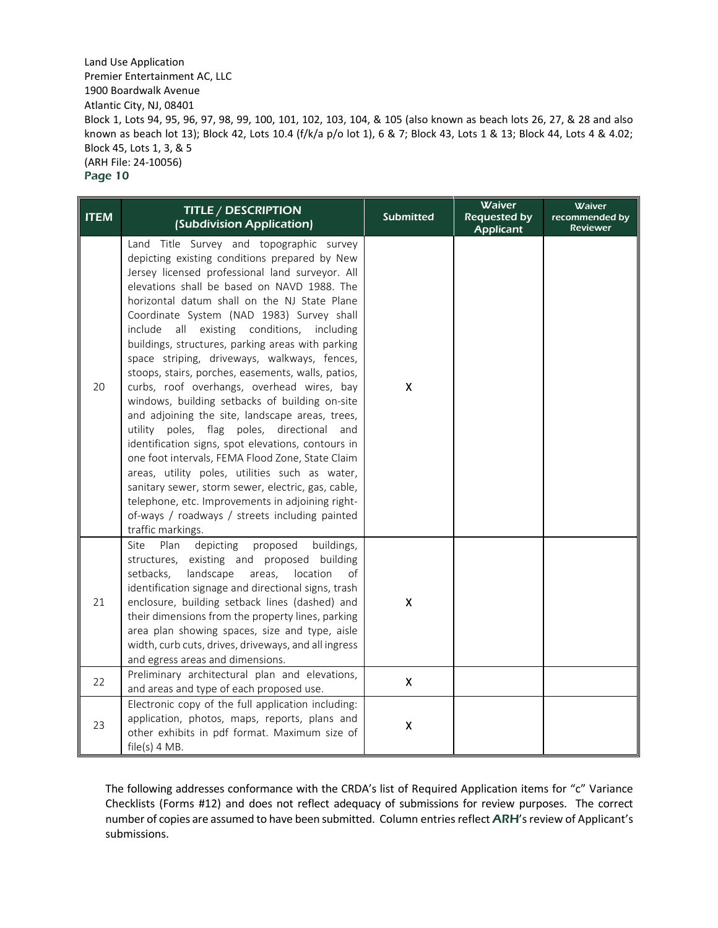| <b>ITEM</b> | <b>TITLE / DESCRIPTION</b><br>(Subdivision Application)                                                                                                                                                                                                                                                                                                                                                                                                                                                                                                                                                                                                                                                                                                                                                                                                                                                                                                                                                                                                        | <b>Submitted</b>   | Waiver<br><b>Requested by</b><br><b>Applicant</b> | <b>Waiver</b><br>recommended by<br><b>Reviewer</b> |
|-------------|----------------------------------------------------------------------------------------------------------------------------------------------------------------------------------------------------------------------------------------------------------------------------------------------------------------------------------------------------------------------------------------------------------------------------------------------------------------------------------------------------------------------------------------------------------------------------------------------------------------------------------------------------------------------------------------------------------------------------------------------------------------------------------------------------------------------------------------------------------------------------------------------------------------------------------------------------------------------------------------------------------------------------------------------------------------|--------------------|---------------------------------------------------|----------------------------------------------------|
| 20          | Land Title Survey and topographic survey<br>depicting existing conditions prepared by New<br>Jersey licensed professional land surveyor. All<br>elevations shall be based on NAVD 1988. The<br>horizontal datum shall on the NJ State Plane<br>Coordinate System (NAD 1983) Survey shall<br>all<br>existing<br>conditions,<br>include<br>including<br>buildings, structures, parking areas with parking<br>space striping, driveways, walkways, fences,<br>stoops, stairs, porches, easements, walls, patios,<br>curbs, roof overhangs, overhead wires, bay<br>windows, building setbacks of building on-site<br>and adjoining the site, landscape areas, trees,<br>utility poles, flag poles, directional<br>and<br>identification signs, spot elevations, contours in<br>one foot intervals, FEMA Flood Zone, State Claim<br>areas, utility poles, utilities such as water,<br>sanitary sewer, storm sewer, electric, gas, cable,<br>telephone, etc. Improvements in adjoining right-<br>of-ways / roadways / streets including painted<br>traffic markings. | Χ                  |                                                   |                                                    |
| 21          | Site<br>depicting<br>proposed<br>buildings,<br>Plan<br>existing and proposed building<br>structures,<br>setbacks,<br>landscape<br>areas,<br>location<br>of<br>identification signage and directional signs, trash<br>enclosure, building setback lines (dashed) and<br>their dimensions from the property lines, parking<br>area plan showing spaces, size and type, aisle<br>width, curb cuts, drives, driveways, and all ingress<br>and egress areas and dimensions.                                                                                                                                                                                                                                                                                                                                                                                                                                                                                                                                                                                         | X                  |                                                   |                                                    |
| 22          | Preliminary architectural plan and elevations,<br>and areas and type of each proposed use.                                                                                                                                                                                                                                                                                                                                                                                                                                                                                                                                                                                                                                                                                                                                                                                                                                                                                                                                                                     | $\pmb{\mathsf{X}}$ |                                                   |                                                    |
| 23          | Electronic copy of the full application including:<br>application, photos, maps, reports, plans and<br>other exhibits in pdf format. Maximum size of<br>$file(s)$ 4 MB.                                                                                                                                                                                                                                                                                                                                                                                                                                                                                                                                                                                                                                                                                                                                                                                                                                                                                        | $\pmb{\mathsf{X}}$ |                                                   |                                                    |

The following addresses conformance with the CRDA's list of Required Application items for "c" Variance Checklists (Forms #12) and does not reflect adequacy of submissions for review purposes. The correct number of copies are assumed to have been submitted. Column entries reflect ARH's review of Applicant's submissions.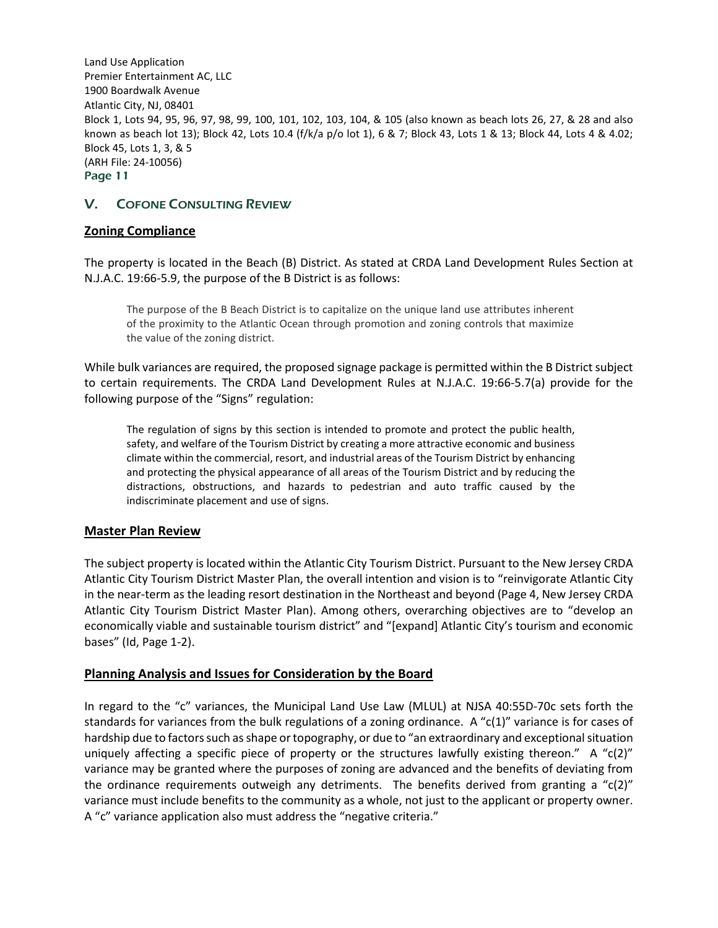# V. COFONE CONSULTING REVIEW

## **Zoning Compliance**

The property is located in the Beach (B) District. As stated at CRDA Land Development Rules Section at N.J.A.C. 19:66-5.9, the purpose of the B District is as follows:

The purpose of the B Beach District is to capitalize on the unique land use attributes inherent of the proximity to the Atlantic Ocean through promotion and zoning controls that maximize the value of the zoning district.

While bulk variances are required, the proposed signage package is permitted within the B District subject to certain requirements. The CRDA Land Development Rules at N.J.A.C. 19:66-5.7(a) provide for the following purpose of the "Signs" regulation:

The regulation of signs by this section is intended to promote and protect the public health, safety, and welfare of the Tourism District by creating a more attractive economic and business climate within the commercial, resort, and industrial areas of the Tourism District by enhancing and protecting the physical appearance of all areas of the Tourism District and by reducing the distractions, obstructions, and hazards to pedestrian and auto traffic caused by the indiscriminate placement and use of signs.

## **Master Plan Review**

The subject property is located within the Atlantic City Tourism District. Pursuant to the New Jersey CRDA Atlantic City Tourism District Master Plan, the overall intention and vision is to "reinvigorate Atlantic City in the near-term as the leading resort destination in the Northeast and beyond (Page 4, New Jersey CRDA Atlantic City Tourism District Master Plan). Among others, overarching objectives are to "develop an economically viable and sustainable tourism district" and "[expand] Atlantic City's tourism and economic bases" (Id, Page 1-2).

## **Planning Analysis and Issues for Consideration by the Board**

In regard to the "c" variances, the Municipal Land Use Law (MLUL) at NJSA 40:55D-70c sets forth the standards for variances from the bulk regulations of a zoning ordinance. A "c(1)" variance is for cases of hardship due to factors such as shape or topography, or due to "an extraordinary and exceptional situation uniquely affecting a specific piece of property or the structures lawfully existing thereon." A "c(2)" variance may be granted where the purposes of zoning are advanced and the benefits of deviating from the ordinance requirements outweigh any detriments. The benefits derived from granting a " $c(2)$ " variance must include benefits to the community as a whole, not just to the applicant or property owner. A "c" variance application also must address the "negative criteria."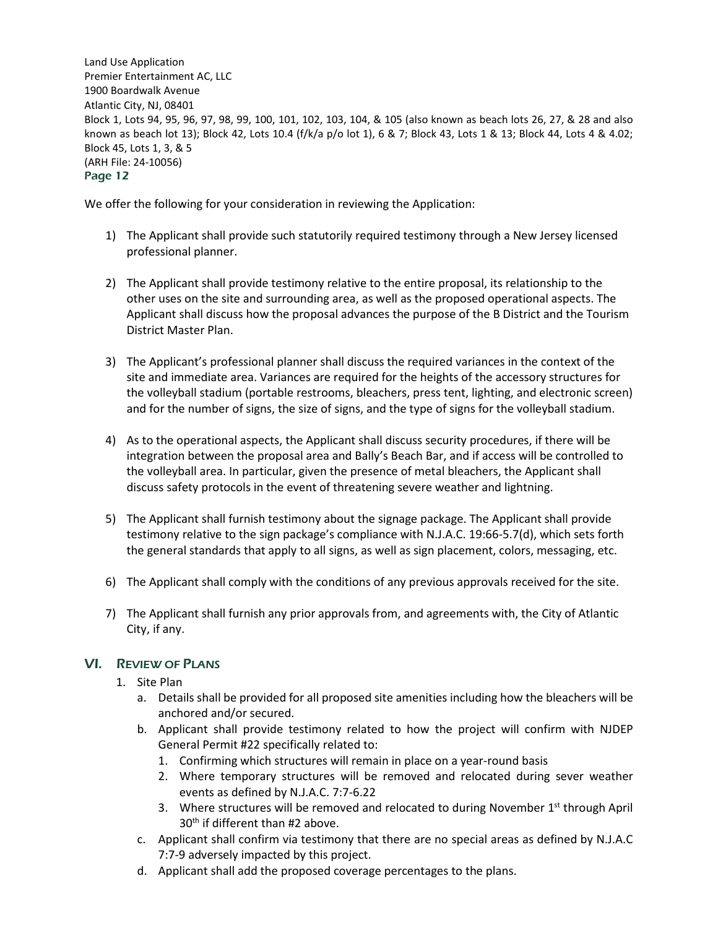We offer the following for your consideration in reviewing the Application:

- 1) The Applicant shall provide such statutorily required testimony through a New Jersey licensed professional planner.
- 2) The Applicant shall provide testimony relative to the entire proposal, its relationship to the other uses on the site and surrounding area, as well as the proposed operational aspects. The Applicant shall discuss how the proposal advances the purpose of the B District and the Tourism District Master Plan.
- 3) The Applicant's professional planner shall discuss the required variances in the context of the site and immediate area. Variances are required for the heights of the accessory structures for the volleyball stadium (portable restrooms, bleachers, press tent, lighting, and electronic screen) and for the number of signs, the size of signs, and the type of signs for the volleyball stadium.
- 4) As to the operational aspects, the Applicant shall discuss security procedures, if there will be integration between the proposal area and Bally's Beach Bar, and if access will be controlled to the volleyball area. In particular, given the presence of metal bleachers, the Applicant shall discuss safety protocols in the event of threatening severe weather and lightning.
- 5) The Applicant shall furnish testimony about the signage package. The Applicant shall provide testimony relative to the sign package's compliance with N.J.A.C. 19:66-5.7(d), which sets forth the general standards that apply to all signs, as well as sign placement, colors, messaging, etc.
- 6) The Applicant shall comply with the conditions of any previous approvals received for the site.
- 7) The Applicant shall furnish any prior approvals from, and agreements with, the City of Atlantic City, if any.

# VI. REVIEW OF PLANS

- 1. Site Plan
	- a. Details shall be provided for all proposed site amenities including how the bleachers will be anchored and/or secured.
	- b. Applicant shall provide testimony related to how the project will confirm with NJDEP General Permit #22 specifically related to:
		- 1. Confirming which structures will remain in place on a year-round basis
		- 2. Where temporary structures will be removed and relocated during sever weather events as defined by N.J.A.C. 7:7-6.22
		- 3. Where structures will be removed and relocated to during November  $1<sup>st</sup>$  through April  $30<sup>th</sup>$  if different than #2 above.
	- c. Applicant shall confirm via testimony that there are no special areas as defined by N.J.A.C 7:7-9 adversely impacted by this project.
	- d. Applicant shall add the proposed coverage percentages to the plans.